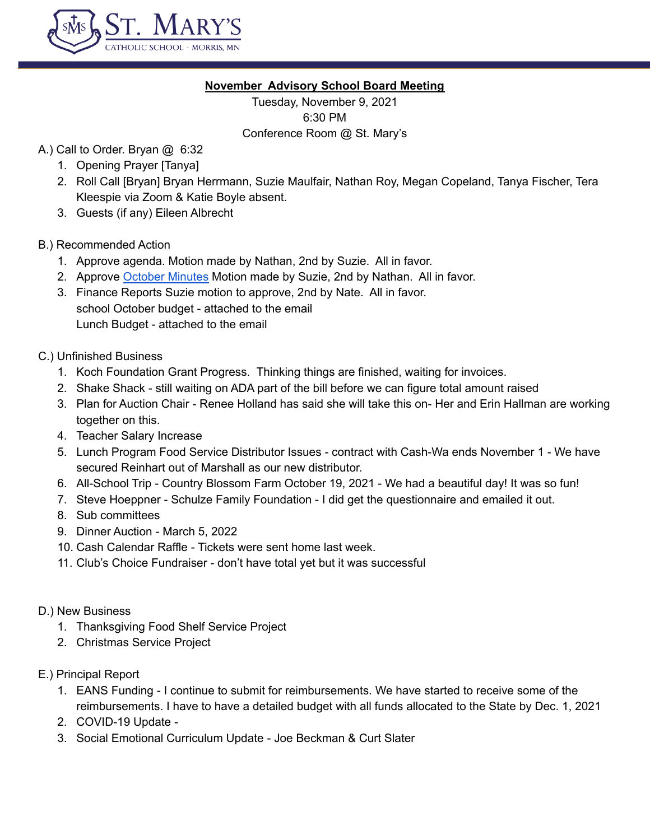

### **November Advisory School Board Meeting**

Tuesday, November 9, 2021 6:30 PM Conference Room @ St. Mary's

# A.) Call to Order. Bryan @ 6:32

- 1. Opening Prayer [Tanya]
- 2. Roll Call [Bryan] Bryan Herrmann, Suzie Maulfair, Nathan Roy, Megan Copeland, Tanya Fischer, Tera Kleespie via Zoom & Katie Boyle absent.
- 3. Guests (if any) Eileen Albrecht

## B.) Recommended Action

- 1. Approve agenda. Motion made by Nathan, 2nd by Suzie. All in favor.
- 2. Approve [October](https://docs.google.com/document/d/1UpZJLT78HTvPfx2DGiKonc6B5cOIKous2J0wL1aBcrk/edit) Minutes Motion made by Suzie, 2nd by Nathan. All in favor.
- 3. Finance Reports Suzie motion to approve, 2nd by Nate. All in favor. school October budget - attached to the email Lunch Budget - attached to the email
- C.) Unfinished Business
	- 1. Koch Foundation Grant Progress. Thinking things are finished, waiting for invoices.
	- 2. Shake Shack still waiting on ADA part of the bill before we can figure total amount raised
	- 3. Plan for Auction Chair Renee Holland has said she will take this on- Her and Erin Hallman are working together on this.
	- 4. Teacher Salary Increase
	- 5. Lunch Program Food Service Distributor Issues contract with Cash-Wa ends November 1 We have secured Reinhart out of Marshall as our new distributor.
	- 6. All-School Trip Country Blossom Farm October 19, 2021 We had a beautiful day! It was so fun!
	- 7. Steve Hoeppner Schulze Family Foundation I did get the questionnaire and emailed it out.
	- 8. Sub committees
	- 9. Dinner Auction March 5, 2022
	- 10. Cash Calendar Raffle Tickets were sent home last week.
	- 11. Club's Choice Fundraiser don't have total yet but it was successful
- D.) New Business
	- 1. Thanksgiving Food Shelf Service Project
	- 2. Christmas Service Project
- E.) Principal Report
	- 1. EANS Funding I continue to submit for reimbursements. We have started to receive some of the reimbursements. I have to have a detailed budget with all funds allocated to the State by Dec. 1, 2021
	- 2. COVID-19 Update -
	- 3. Social Emotional Curriculum Update Joe Beckman & Curt Slater